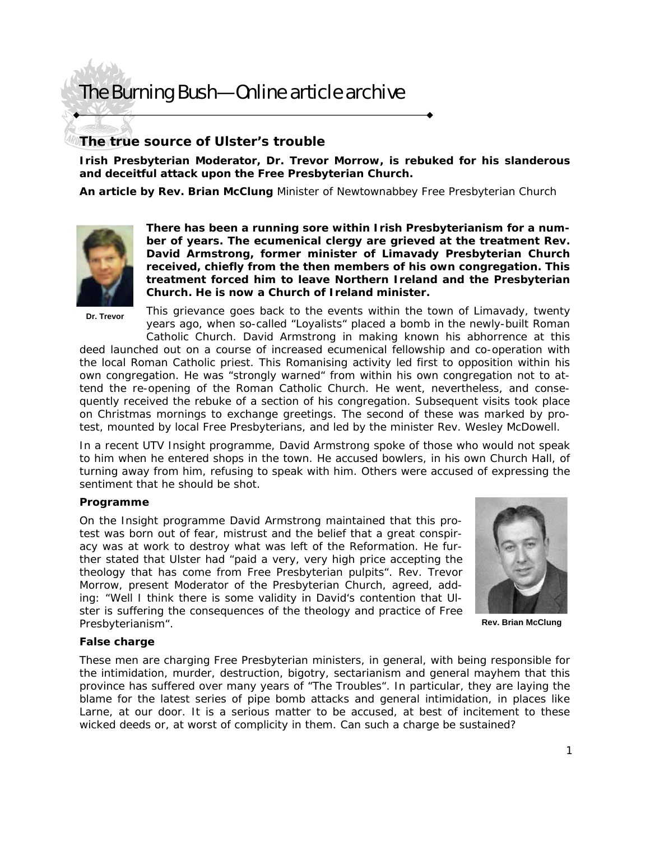# The Burning Bush—Online article archive

# **The true source of Ulster's trouble**

*Irish Presbyterian Moderator, Dr. Trevor Morrow, is rebuked for his slanderous and deceitful attack upon the Free Presbyterian Church.* 

**An article by Rev. Brian McClung** *Minister of Newtownabbey Free Presbyterian Church* 



**There has been a running sore within Irish Presbyterianism for a number of years. The ecumenical clergy are grieved at the treatment Rev. David Armstrong, former minister of Limavady Presbyterian Church received, chiefly from the then members of his own congregation. This treatment forced him to leave Northern Ireland and the Presbyterian Church. He is now a Church of Ireland minister.** 

**Dr. Trevor** 

This arievance goes back to the events within the town of Limavady, twenty years ago, when so-called "Loyalists" placed a bomb in the newly-built Roman

Catholic Church. David Armstrong in making known his abhorrence at this deed launched out on a course of increased ecumenical fellowship and co-operation with the local Roman Catholic priest. This Romanising activity led first to opposition within his own congregation. He was "strongly warned" from within his own congregation not to attend the re-opening of the Roman Catholic Church. He went, nevertheless, and consequently received the rebuke of a section of his congregation. Subsequent visits took place on Christmas mornings to exchange greetings. The second of these was marked by protest, mounted by local Free Presbyterians, and led by the minister Rev. Wesley McDowell.

In a recent UTV Insight programme, David Armstrong spoke of those who would not speak to him when he entered shops in the town. He accused bowlers, in his own Church Hall, of turning away from him, refusing to speak with him. Others were accused of expressing the sentiment that he should be shot.

### **Programme**

On the Insight programme David Armstrong maintained that this protest was born out of fear, mistrust and the belief that a great conspiracy was at work to destroy what was left of the Reformation. He further stated that Ulster had "paid a very, very high price accepting the theology that has come from Free Presbyterian pulpits". Rev. Trevor Morrow, present Moderator of the Presbyterian Church, agreed, adding: "Well I think there is some validity in David's contention that Ulster is suffering the consequences of the theology and practice of Free Presbyterianism".



**Rev. Brian McClung** 

### **False charge**

These men are charging Free Presbyterian ministers, in general, with being responsible for the intimidation, murder, destruction, bigotry, sectarianism and general mayhem that this province has suffered over many years of "The Troubles". In particular, they are laying the blame for the latest series of pipe bomb attacks and general intimidation, in places like Larne, at our door. It is a serious matter to be accused, at best of incitement to these wicked deeds or, at worst of complicity in them. Can such a charge be sustained?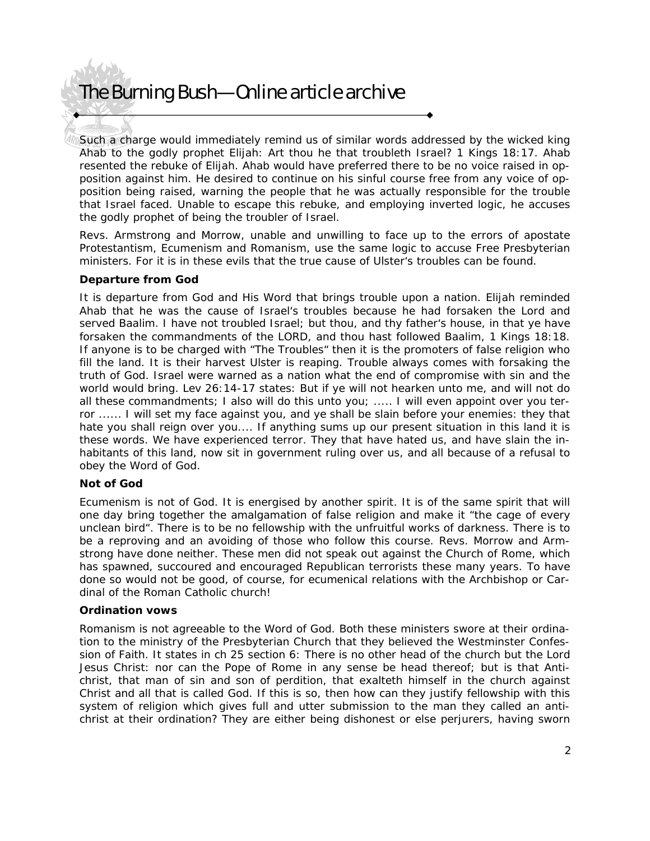# The Burning Bush—Online article archive

Such a charge would immediately remind us of similar words addressed by the wicked king Ahab to the godly prophet Elijah: *Art thou he that troubleth Israel?* 1 Kings 18:17. Ahab resented the rebuke of Elijah. Ahab would have preferred there to be no voice raised in opposition against him. He desired to continue on his sinful course free from any voice of opposition being raised, warning the people that he was actually responsible for the trouble that Israel faced. Unable to escape this rebuke, and employing inverted logic, he accuses the godly prophet of being the troubler of Israel.

Revs. Armstrong and Morrow, unable and unwilling to face up to the errors of apostate Protestantism, Ecumenism and Romanism, use the same logic to accuse Free Presbyterian ministers. For it is in these evils that the true cause of Ulster's troubles can be found.

## **Departure from God**

It is departure from God and His Word that brings trouble upon a nation. Elijah reminded Ahab that he was the cause of Israel's troubles because he had forsaken the Lord and served Baalim. I have not troubled Israel; but thou, and thy father's house, in that ye have forsaken the commandments of the LORD, and thou hast followed Baalim, 1 Kings 18:18. If anyone is to be charged with "The Troubles" then it is the promoters of false religion who fill the land. It is their harvest Ulster is reaping. Trouble always comes with forsaking the truth of God. Israel were warned as a nation what the end of compromise with sin and the world would bring. Lev 26:14-17 states: *But if ye will not hearken unto me, and will not do all these commandments; I also will do this unto you; ..... I will even appoint over you ter*ror ...... I will set my face against you, and ye shall be slain before your enemies: they that *hate you shall reign over you....* If anything sums up our present situation in this land it is these words. We have experienced terror. They that have hated us, and have slain the inhabitants of this land, now sit in government ruling over us, and all because of a refusal to obey the Word of God.

### **Not of God**

Ecumenism is not of God. It is energised by another spirit. It is of the same spirit that will one day bring together the amalgamation of false religion and make it "the cage of every unclean bird". There is to be no fellowship with the unfruitful works of darkness. There is to be a reproving and an avoiding of those who follow this course. Revs. Morrow and Armstrong have done neither. These men did not speak out against the Church of Rome, which has spawned, succoured and encouraged Republican terrorists these many years. To have done so would not be good, of course, for ecumenical relations with the Archbishop or Cardinal of the Roman Catholic church!

### **Ordination vows**

Romanism is not agreeable to the Word of God. Both these ministers swore at their ordination to the ministry of the Presbyterian Church that they believed the Westminster Confession of Faith. It states in ch 25 section 6: There is no other head of the church but the Lord Jesus Christ: nor can the Pope of Rome in any sense be head thereof; but is that Antichrist, that man of sin and son of perdition, that exalteth himself in the church against Christ and all that is called God. If this is so, then how can they justify fellowship with this system of religion which gives full and utter submission to the man they called an antichrist at their ordination? They are either being dishonest or else perjurers, having sworn